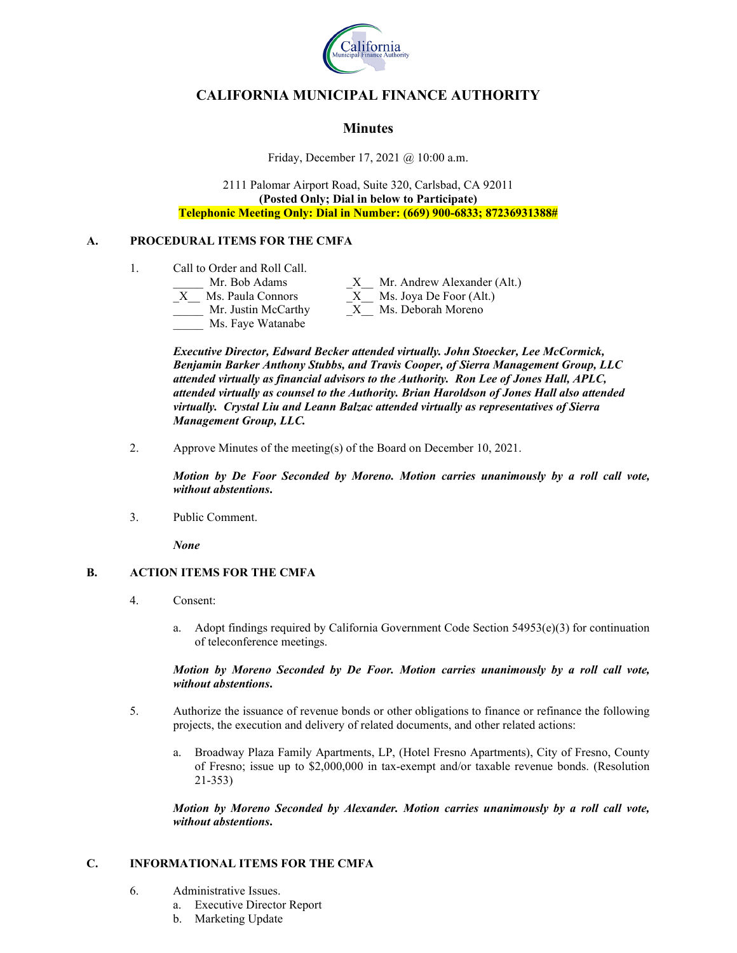

# **CALIFORNIA MUNICIPAL FINANCE AUTHORITY**

## **Minutes**

Friday, December 17, 2021 @ 10:00 a.m.

2111 Palomar Airport Road, Suite 320, Carlsbad, CA 92011 **(Posted Only; Dial in below to Participate) Telephonic Meeting Only: Dial in Number: (669) 900-6833; 87236931388#**

### **A. PROCEDURAL ITEMS FOR THE CMFA**

- 1. Call to Order and Roll Call.
	-
	-
	- Ms. Faye Watanabe

Mr. Bob Adams X Mr. Andrew Alexander (Alt.)  $X$  Ms. Paula Connors  $X$  Ms. Joya De Foor (Alt.) Mr. Justin McCarthy  $X$ <sup>Ms. Deborah Moreno</sup>

*Executive Director, Edward Becker attended virtually. John Stoecker, Lee McCormick, Benjamin Barker Anthony Stubbs, and Travis Cooper, of Sierra Management Group, LLC attended virtually as financial advisors to the Authority. Ron Lee of Jones Hall, APLC, attended virtually as counsel to the Authority. Brian Haroldson of Jones Hall also attended virtually. Crystal Liu and Leann Balzac attended virtually as representatives of Sierra Management Group, LLC.*

2. Approve Minutes of the meeting(s) of the Board on December 10, 2021.

*Motion by De Foor Seconded by Moreno. Motion carries unanimously by a roll call vote, without abstentions***.**

3. Public Comment.

*None*

### **B. ACTION ITEMS FOR THE CMFA**

- 4. Consent:
	- a. Adopt findings required by California Government Code Section  $54953(e)(3)$  for continuation of teleconference meetings.

#### *Motion by Moreno Seconded by De Foor. Motion carries unanimously by a roll call vote, without abstentions***.**

- 5. Authorize the issuance of revenue bonds or other obligations to finance or refinance the following projects, the execution and delivery of related documents, and other related actions:
	- a. Broadway Plaza Family Apartments, LP, (Hotel Fresno Apartments), City of Fresno, County of Fresno; issue up to \$2,000,000 in tax-exempt and/or taxable revenue bonds. (Resolution 21-353)

*Motion by Moreno Seconded by Alexander. Motion carries unanimously by a roll call vote, without abstentions***.**

### **C. INFORMATIONAL ITEMS FOR THE CMFA**

- 6. Administrative Issues.
	- a. Executive Director Report
	- b. Marketing Update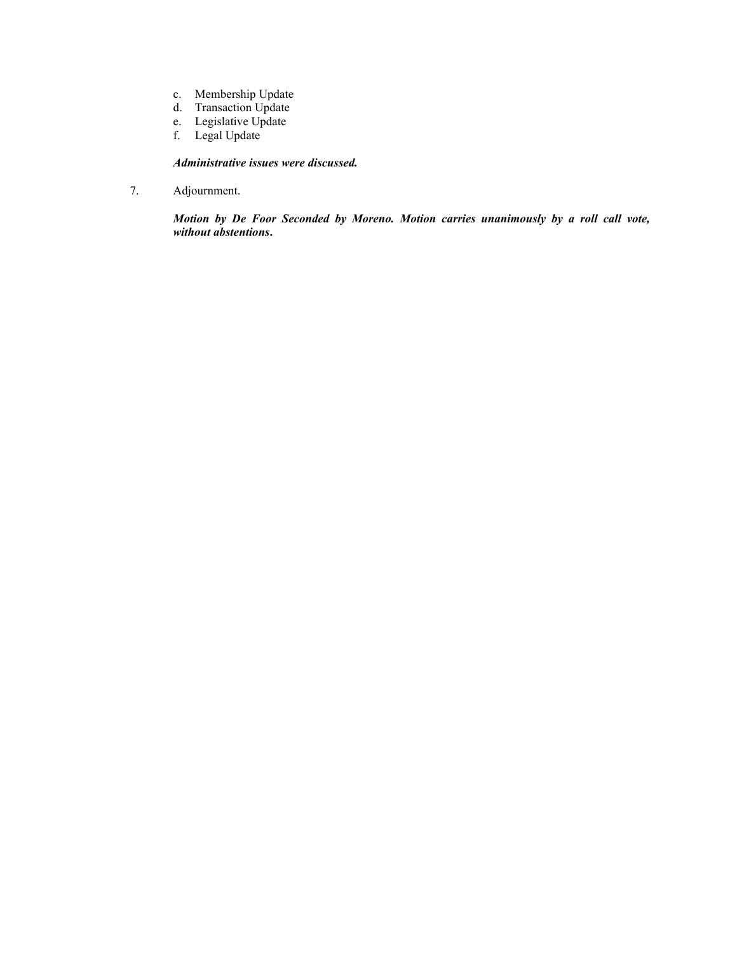- c. Membership Update
- d. Transaction Update
- e. Legislative Update
- f. Legal Update

### *Administrative issues were discussed.*

7. Adjournment.

*Motion by De Foor Seconded by Moreno. Motion carries unanimously by a roll call vote, without abstentions***.**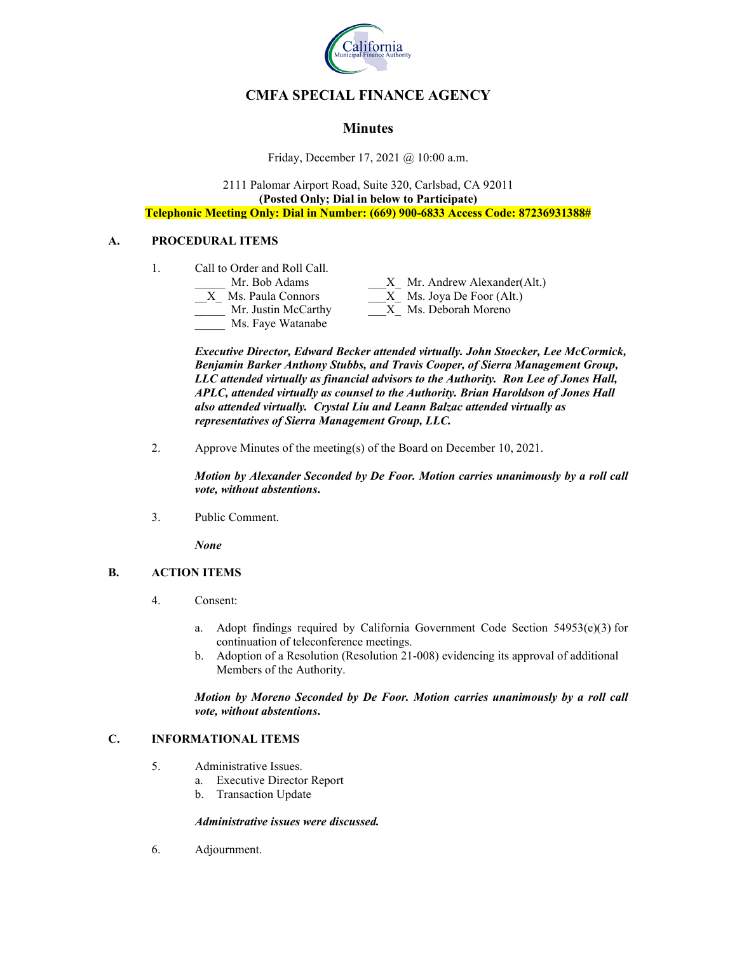

# **CMFA SPECIAL FINANCE AGENCY**

## **Minutes**

Friday, December 17, 2021 @ 10:00 a.m.

2111 Palomar Airport Road, Suite 320, Carlsbad, CA 92011 **(Posted Only; Dial in below to Participate) Telephonic Meeting Only: Dial in Number: (669) 900-6833 Access Code: 87236931388#**

### **A. PROCEDURAL ITEMS**

1. Call to Order and Roll Call.

| Mr. Bob Adams       | X Mr. Andrew Alexander(Alt.) |
|---------------------|------------------------------|
| Ms. Paula Connors   | $X$ Ms. Joya De Foor (Alt.)  |
| Mr. Justin McCarthy | X Ms. Deborah Moreno         |
| Ms. Faye Watanabe   |                              |

*Executive Director, Edward Becker attended virtually. John Stoecker, Lee McCormick, Benjamin Barker Anthony Stubbs, and Travis Cooper, of Sierra Management Group, LLC attended virtually as financial advisors to the Authority. Ron Lee of Jones Hall, APLC, attended virtually as counsel to the Authority. Brian Haroldson of Jones Hall also attended virtually. Crystal Liu and Leann Balzac attended virtually as representatives of Sierra Management Group, LLC.*

2. Approve Minutes of the meeting(s) of the Board on December 10, 2021.

*Motion by Alexander Seconded by De Foor. Motion carries unanimously by a roll call vote, without abstentions***.**

3. Public Comment.

*None*

### **B. ACTION ITEMS**

- 4. Consent:
	- a. Adopt findings required by California Government Code Section 54953(e)(3) for continuation of teleconference meetings.
	- b. Adoption of a Resolution (Resolution 21-008) evidencing its approval of additional Members of the Authority.

*Motion by Moreno Seconded by De Foor. Motion carries unanimously by a roll call vote, without abstentions***.**

### **C. INFORMATIONAL ITEMS**

- 5. Administrative Issues.
	- a. Executive Director Report
	- b. Transaction Update

#### *Administrative issues were discussed.*

6. Adjournment.